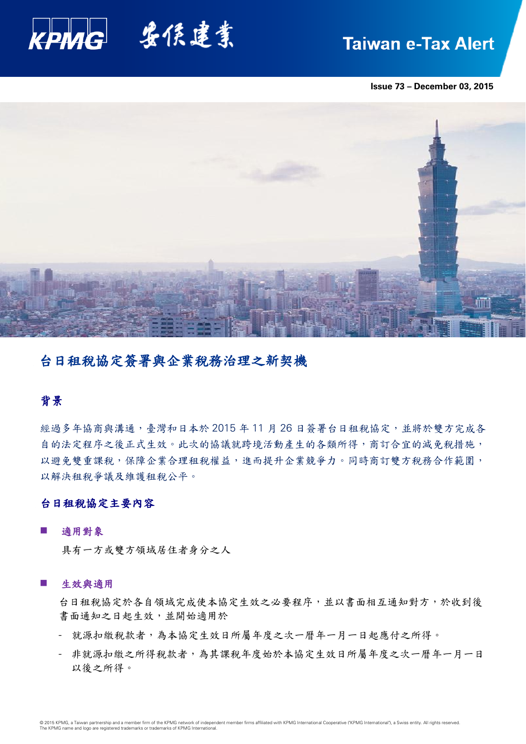

# **Taiwan e-Tax Alert**

**Issue 73 – December 03, 2015**



# 台日租稅協定簽署與企業稅務治理之新契機

# 背景

經過多年協商與溝通,臺灣和日本於 2015年11月26日簽署台日租稅協定,並將於雙方完成各 自的法定程序之後正式生效。此次的協議就跨境活動產生的各類所得,商訂合宜的減免稅措施, 以避免雙重課稅,保障企業合理租稅權益,進而提升企業競爭力。同時商訂雙方稅務合作範圍, 以解決租稅爭議及維護租稅公平。

## 台日租稅協定主要內容

#### 適用對象

具有一方或雙方領域居住者身分之人

#### ■ 生效與適用

台日租稅協定於各自領域完成使本協定生效之必要程序,並以書面相互通知對方,於收到後 書面通知之日起生效,並開始適用於

- 就源扣繳稅款者,為本協定生效日所屬年度之次一曆年一月一日起應付之所得。
- 非就源扣繳之所得稅款者,為其課稅年度始於本協定生效日所屬年度之次一曆年一月一日 以後之所得。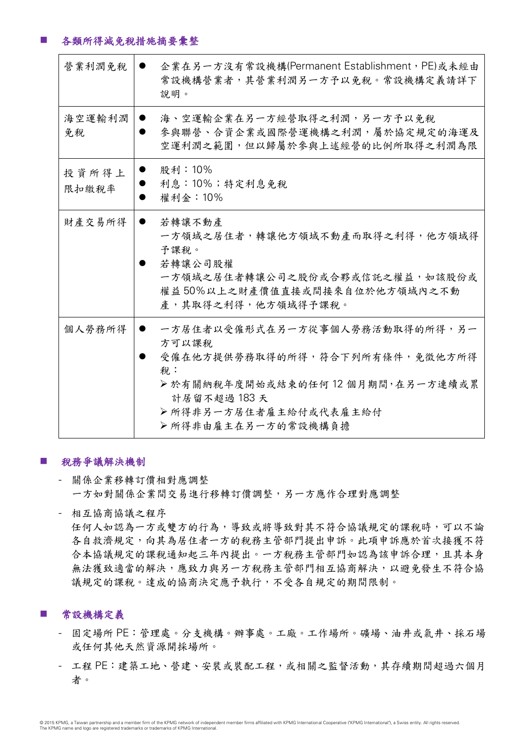# 各類所得減免稅措施摘要彙整

| 營業利潤免稅         | 企業在另一方沒有常設機構(Permanent Establishment,PE)或未經由<br>常設機構營業者,其營業利潤另一方予以免稅。常設機構定義請詳下<br>說明。                                                                                             |
|----------------|-----------------------------------------------------------------------------------------------------------------------------------------------------------------------------------|
| 海空運輸利潤<br>免稅   | 海、空運輸企業在另一方經營取得之利潤,另一方予以免稅<br>參與聯營、合資企業或國際營運機構之利潤,屬於協定規定的海運及<br>空運利潤之範圍,但以歸屬於參與上述經營的比例所取得之利潤為限                                                                                    |
| 投資所得上<br>限扣缴税率 | 股利:10%<br>利息:10%;特定利息免税<br>權利金: 10%                                                                                                                                               |
| 財產交易所得         | 若轉讓不動產<br>$\bullet$<br>一方領域之居住者,轉讓他方領域不動產而取得之利得,他方領域得<br>予課稅。<br>若轉讓公司股權<br>一方領域之居住者轉讓公司之股份或合夥或信託之權益,如該股份或<br>權益 50%以上之財產價值直接或間接來自位於他方領域內之不動<br>產,其取得之利得,他方領域得予課稅。                |
| 個人勞務所得         | 一方居住者以受僱形式在另一方從事個人勞務活動取得的所得,另一<br>方可以課稅<br>受僱在他方提供勞務取得的所得,符合下列所有條件,免徵他方所得<br>稅:<br>>於有關納稅年度開始或結束的任何12個月期間,在另一方連續或累<br>計居留不超過 183 天<br>▶所得非另一方居住者雇主給付或代表雇主給付<br>▶所得非由雇主在另一方的常設機構負擔 |

## 稅務爭議解決機制

- 關係企業移轉訂價相對應調整 一方如對關係企業間交易進行移轉訂價調整,另一方應作合理對應調整
- 相互協商協議之程序 任何人如認為一方或雙方的行為,導致或將導致對其不符合協議規定的課稅時,可以不論 各自救濟規定,向其為居住者一方的稅務主管部門提出申訴。此項申訴應於首次接獲不符 合本協議規定的課稅通知起三年內提出。一方稅務主管部門如認為該申訴合理,且其本身 無法獲致適當的解決,應致力與另一方稅務主管部門相互協商解決,以避免發生不符合協 議規定的課稅。達成的協商決定應予執行,不受各自規定的期間限制。

# 常設機構定義

- 固定場所 PE:管理處。分支機構。辦事處。工廠。工作場所。礦場、油井或氣井、採石場 或任何其他天然資源開採場所。
- 工程 PE:建築工地、營建、安裝或裝配工程,或相關之監督活動,其存續期間超過六個月 者。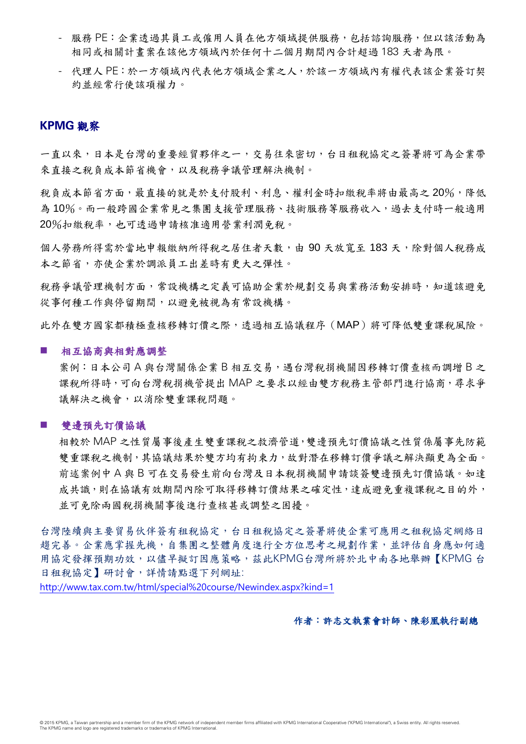- 服務 PE:企業透過其員工或僱用人員在他方領域提供服務,包括諮詢服務,但以該活動為 相同或相關計畫案在該他方領域內於任何十二個月期間內合計超過 183 天者為限。
- 代理人 PE:於一方領域內代表他方領域企業之人,於該一方領域內有權代表該企業簽訂契 約並經常行使該項權力。

# **KPMG** 觀察

一直以來,日本是台灣的重要經貿夥伴之一,交易往來密切,台日租稅協定之簽署將可為企業帶 來直接之稅負成本節省機會,以及稅務爭議管理解決機制。

稅負成本節省方面,最直接的就是於支付股利、利息、權利金時扣繳稅率將由最高之 20%,降低 為10%。而一般跨國企業常見之集團支援管理服務、技術服務等服務收入,過去支付時一般適用 20%扣繳稅率,也可透過申請核准適用營業利潤免稅。

個人勞務所得需於當地申報繳納所得稅之居住者天數,由 90 天放寬至 183 天,除對個人稅務成 本之節省,亦使企業於調派員工出差時有更大之彈性。

稅務爭議管理機制方面,常設機構之定義可協助企業於規劃交易與業務活動安排時,知道該避免 從事何種工作與停留期間,以避免被視為有常設機構。

此外在雙方國家都積極查核移轉訂價之際,透過相互協議程序(MAP)將可降低雙重課稅風險。

#### ■ 相互協商與相對應調整

案例: 日本公司 A 與台灣關係企業 B 相互交易, 遇台灣稅捐機關因移轉訂價查核而調增 B 之 課稅所得時,可向台灣稅捐機管提出 MAP 之要求以經由雙方稅務主管部門進行協商,尋求爭 議解決之機會,以消除雙重課稅問題。

#### 雙邊預先訂價協議

相較於 MAP 之性質屬事後產生雙重課稅之救濟管道,雙邊預先訂價協議之性質係屬事先防範 雙重課稅之機制,其協議結果於雙方均有拘束力,故對潛在移轉訂價爭議之解決顯更為全面。 前述案例中 A 與 B 可在交易發生前向台灣及日本稅捐機關申請談簽雙邊預先訂價協議。如達 成共識,則在協議有效期間內除可取得移轉訂價結果之確定性,達成避免重複課稅之目的外, 並可免除兩國稅捐機關事後進行查核甚或調整之困擾。

台灣陸續與主要貿易伙伴簽有租稅協定,台日租稅協定之簽署將使企業可應用之租稅協定網絡日 趨完善。企業應掌握先機,自集團之整體角度進行全方位思考之規劃作業,並評估自身應如何適 用協定發揮預期功效,以儘早擬訂因應策略,茲此KPMG台灣所將於北中南各地舉辦【KPMG 台 日租稅協定】研討會,詳情請點選下列網址:

<http://www.tax.com.tw/html/special%20course/Newindex.aspx?kind=1>

### 作者:許志文執業會計師、陳彩凰執行副總